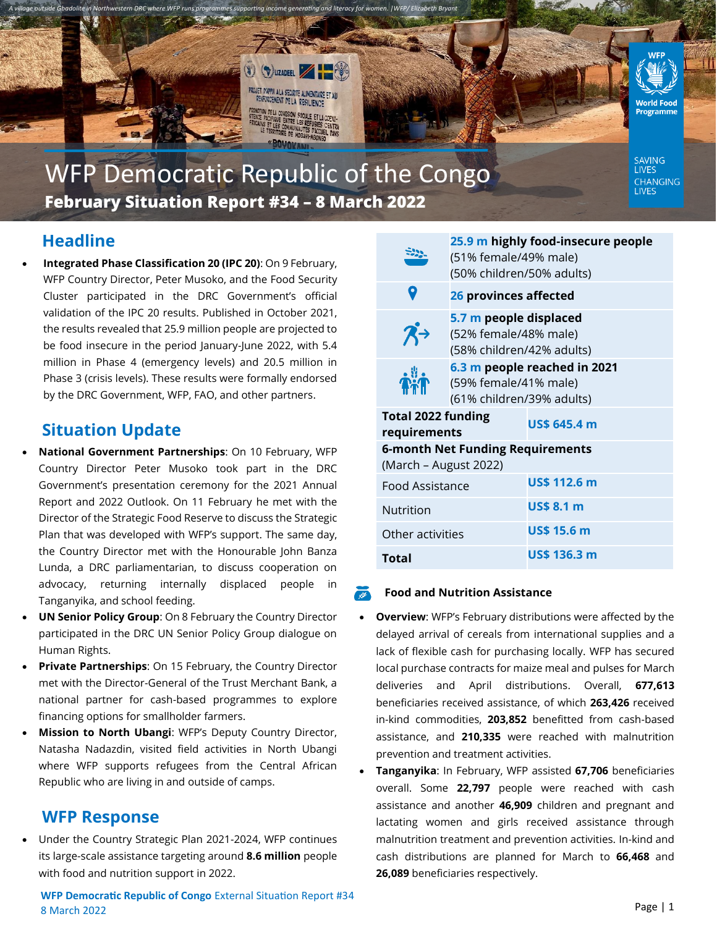

# WFP Democratic Republic of the Congo **February Situation Report #34 – 8 March 2022**

# **Headline**

• **Integrated Phase Classification 20 (IPC 20)**: On 9 February, WFP Country Director, Peter Musoko, and the Food Security Cluster participated in the DRC Government's official validation of the IPC 20 results. Published in October 2021, the results revealed that 25.9 million people are projected to be food insecure in the period January-June 2022, with 5.4 million in Phase 4 (emergency levels) and 20.5 million in Phase 3 (crisis levels). These results were formally endorsed by the DRC Government, WFP, FAO, and other partners.

## **Situation Update**

- **National Government Partnerships**: On 10 February, WFP Country Director Peter Musoko took part in the DRC Government's presentation ceremony for the 2021 Annual Report and 2022 Outlook. On 11 February he met with the Director of the Strategic Food Reserve to discuss the Strategic Plan that was developed with WFP's support. The same day, the Country Director met with the Honourable John Banza Lunda, a DRC parliamentarian, to discuss cooperation on advocacy, returning internally displaced people in Tanganyika, and school feeding.
- **UN Senior Policy Group**: On 8 February the Country Director participated in the DRC UN Senior Policy Group dialogue on Human Rights.
- **Private Partnerships**: On 15 February, the Country Director met with the Director-General of the Trust Merchant Bank, a national partner for cash-based programmes to explore financing options for smallholder farmers.
- **Mission to North Ubangi**: WFP's Deputy Country Director, Natasha Nadazdin, visited field activities in North Ubangi where WFP supports refugees from the Central African Republic who are living in and outside of camps.

## **WFP Response**

• Under the Country Strategic Plan 2021-2024, WFP continues its large-scale assistance targeting around **8.6 million** people with food and nutrition support in 2022.

**WFP Democratic Republic of Congo** External Situation Report #34 8 March 2022

|                                                           | 25.9 m highly food-insecure people<br>(51% female/49% male)<br>(50% children/50% adults) |                     |
|-----------------------------------------------------------|------------------------------------------------------------------------------------------|---------------------|
|                                                           | 26 provinces affected                                                                    |                     |
|                                                           | 5.7 m people displaced<br>(52% female/48% male)<br>(58% children/42% adults)             |                     |
|                                                           | 6.3 m people reached in 2021<br>(59% female/41% male)<br>(61% children/39% adults)       |                     |
| <b>Total 2022 funding</b><br>requirements                 |                                                                                          | US\$ 645.4 m        |
| 6-month Net Funding Requirements<br>(March – August 2022) |                                                                                          |                     |
| Food Assistance                                           |                                                                                          | <b>US\$ 112.6 m</b> |
| Nutrition                                                 |                                                                                          | <b>US\$ 8.1 m</b>   |
| Other activities                                          |                                                                                          | <b>US\$ 15.6 m</b>  |
| Total                                                     |                                                                                          | US\$ 136.3 m        |

#### **Food and Nutrition Assistance**

- **Overview**: WFP's February distributions were affected by the delayed arrival of cereals from international supplies and a lack of flexible cash for purchasing locally. WFP has secured local purchase contracts for maize meal and pulses for March deliveries and April distributions. Overall, **677,613** beneficiaries received assistance, of which **263,426** received in-kind commodities, **203,852** benefitted from cash-based assistance, and **210,335** were reached with malnutrition prevention and treatment activities.
- **Tanganyika**: In February, WFP assisted **67,706** beneficiaries overall. Some **22,797** people were reached with cash assistance and another **46,909** children and pregnant and lactating women and girls received assistance through malnutrition treatment and prevention activities. In-kind and cash distributions are planned for March to **66,468** and **26,089** beneficiaries respectively.

**LIVES** CHANGING<br>LIVES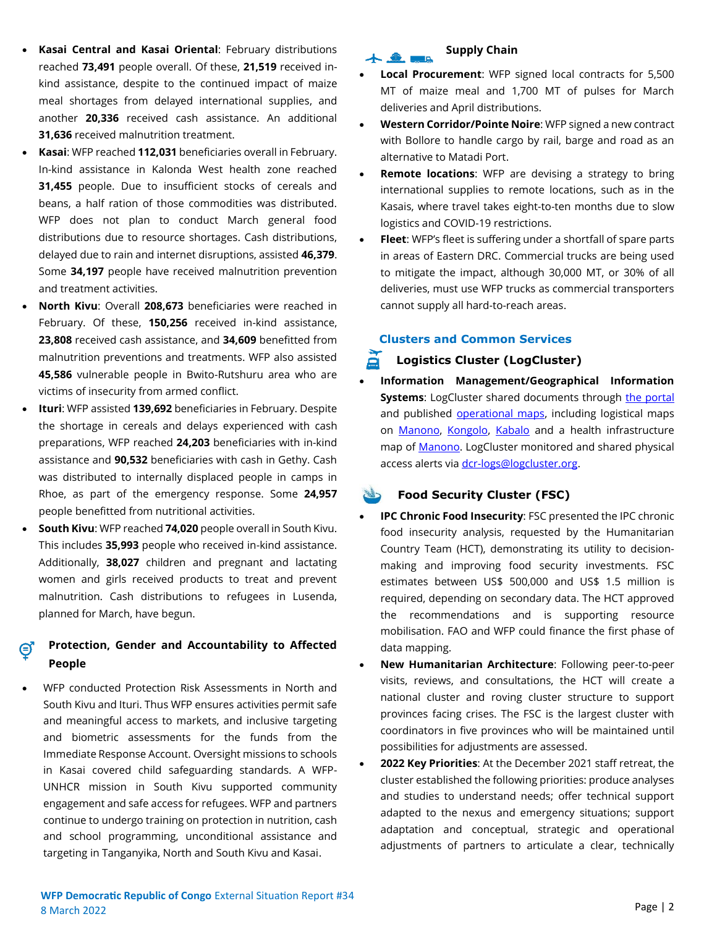- **Kasai Central and Kasai Oriental**: February distributions reached **73,491** people overall. Of these, **21,519** received inkind assistance, despite to the continued impact of maize meal shortages from delayed international supplies, and another **20,336** received cash assistance. An additional **31,636** received malnutrition treatment.
- **Kasai**: WFP reached **112,031** beneficiaries overall in February. In-kind assistance in Kalonda West health zone reached **31,455** people. Due to insufficient stocks of cereals and beans, a half ration of those commodities was distributed. WFP does not plan to conduct March general food distributions due to resource shortages. Cash distributions, delayed due to rain and internet disruptions, assisted **46,379**. Some **34,197** people have received malnutrition prevention and treatment activities.
- **North Kivu**: Overall **208,673** beneficiaries were reached in February. Of these, **150,256** received in-kind assistance, **23,808** received cash assistance, and **34,609** benefitted from malnutrition preventions and treatments. WFP also assisted **45,586** vulnerable people in Bwito-Rutshuru area who are victims of insecurity from armed conflict.
- **Ituri**: WFP assisted **139,692** beneficiaries in February. Despite the shortage in cereals and delays experienced with cash preparations, WFP reached **24,203** beneficiaries with in-kind assistance and **90,532** beneficiaries with cash in Gethy. Cash was distributed to internally displaced people in camps in Rhoe, as part of the emergency response. Some **24,957**  people benefitted from nutritional activities.
- **South Kivu**: WFP reached **74,020** people overall in South Kivu. This includes **35,993** people who received in-kind assistance. Additionally, **38,027** children and pregnant and lactating women and girls received products to treat and prevent malnutrition. Cash distributions to refugees in Lusenda, planned for March, have begun.

#### **Protection, Gender and Accountability to Affected People**

• WFP conducted Protection Risk Assessments in North and South Kivu and Ituri. Thus WFP ensures activities permit safe and meaningful access to markets, and inclusive targeting and biometric assessments for the funds from the Immediate Response Account. Oversight missions to schools in Kasai covered child safeguarding standards. A WFP-UNHCR mission in South Kivu supported community engagement and safe access for refugees. WFP and partners continue to undergo training on protection in nutrition, cash and school programming, unconditional assistance and targeting in Tanganyika, North and South Kivu and Kasai.

# $+$  . On the set of  $\mathbb{R}$

## • **Local Procurement**: WFP signed local contracts for 5,500 MT of maize meal and 1,700 MT of pulses for March deliveries and April distributions.

**Supply Chain**

- **Western Corridor/Pointe Noire**: WFP signed a new contract with Bollore to handle cargo by rail, barge and road as an alternative to Matadi Port.
- **Remote locations:** WFP are devising a strategy to bring international supplies to remote locations, such as in the Kasais, where travel takes eight-to-ten months due to slow logistics and COVID-19 restrictions.
- **Fleet**: WFP's fleet is suffering under a shortfall of spare parts in areas of Eastern DRC. Commercial trucks are being used to mitigate the impact, although 30,000 MT, or 30% of all deliveries, must use WFP trucks as commercial transporters cannot supply all hard-to-reach areas.

#### **Clusters and Common Services**

#### **Logistics Cluster (LogCluster)**

• **Information Management/Geographical Information Systems:** LogCluster shared documents through [the portal](https://logcluster.org/ops/drc) and published **operational maps**, including logistical maps on [Manono,](https://logcluster.org/document/rdc-carte-generale-de-planification-logistique-territoire-de-manono-province-du-tanganyika) [Kongolo,](https://logcluster.org/document/rdc-carte-generale-de-planification-logistique-territoire-de-kongolo-province-de) [Kabalo](https://logcluster.org/document/rdc-carte-generale-de-planification-logistique-territoire-de-kabalo-province-de-tanganyika) and a health infrastructure map o[f Manono.](https://logcluster.org/document/drc-zone-de-sante-de-manono-province-du-tanganyika-fevrier-2022) LogCluster monitored and shared physical access alerts vi[a dcr-logs@logcluster.org.](mailto:dcr-logs@logcluster.org)

### **Food Security Cluster (FSC)**

- **IPC Chronic Food Insecurity**: FSC presented the IPC chronic food insecurity analysis, requested by the Humanitarian Country Team (HCT), demonstrating its utility to decisionmaking and improving food security investments. FSC estimates between US\$ 500,000 and US\$ 1.5 million is required, depending on secondary data. The HCT approved the recommendations and is supporting resource mobilisation. FAO and WFP could finance the first phase of data mapping.
- **New Humanitarian Architecture**: Following peer-to-peer visits, reviews, and consultations, the HCT will create a national cluster and roving cluster structure to support provinces facing crises. The FSC is the largest cluster with coordinators in five provinces who will be maintained until possibilities for adjustments are assessed.
- **2022 Key Priorities**: At the December 2021 staff retreat, the cluster established the following priorities: produce analyses and studies to understand needs; offer technical support adapted to the nexus and emergency situations; support adaptation and conceptual, strategic and operational adjustments of partners to articulate a clear, technically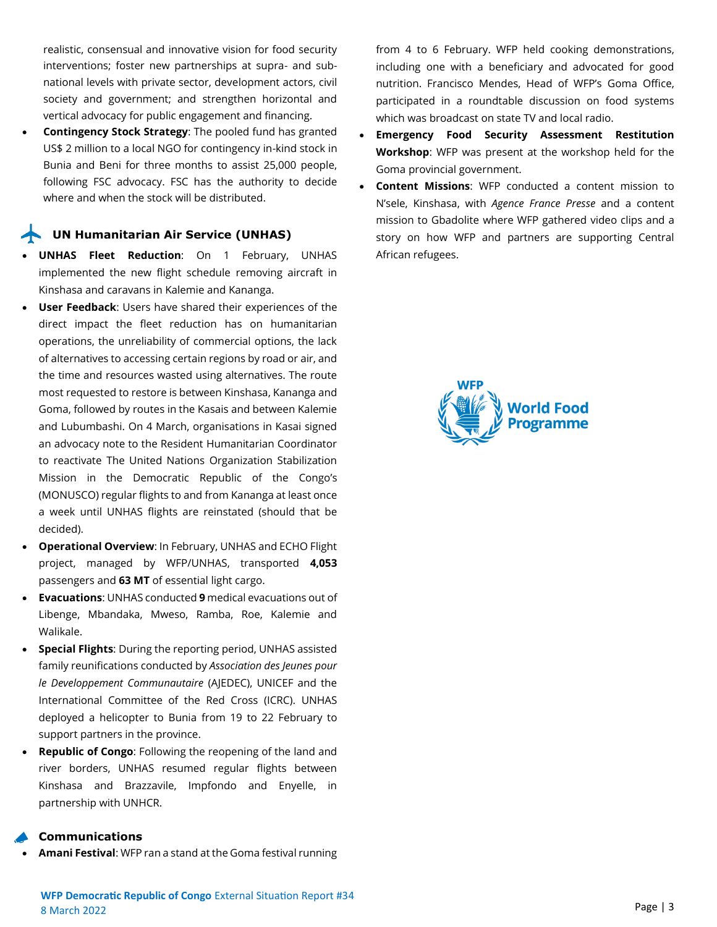realistic, consensual and innovative vision for food security interventions; foster new partnerships at supra- and subnational levels with private sector, development actors, civil society and government; and strengthen horizontal and vertical advocacy for public engagement and financing.

• **Contingency Stock Strategy**: The pooled fund has granted US\$ 2 million to a local NGO for contingency in-kind stock in Bunia and Beni for three months to assist 25,000 people, following FSC advocacy. FSC has the authority to decide where and when the stock will be distributed.

#### **UN Humanitarian Air Service (UNHAS)**

- **UNHAS Fleet Reduction**: On 1 February, UNHAS implemented the new flight schedule removing aircraft in Kinshasa and caravans in Kalemie and Kananga.
- **User Feedback:** Users have shared their experiences of the direct impact the fleet reduction has on humanitarian operations, the unreliability of commercial options, the lack of alternatives to accessing certain regions by road or air, and the time and resources wasted using alternatives. The route most requested to restore is between Kinshasa, Kananga and Goma, followed by routes in the Kasais and between Kalemie and Lubumbashi. On 4 March, organisations in Kasai signed an advocacy note to the Resident Humanitarian Coordinator to reactivate The United Nations Organization Stabilization Mission in the Democratic Republic of the Congo's (MONUSCO) regular flights to and from Kananga at least once a week until UNHAS flights are reinstated (should that be decided).
- **Operational Overview**: In February, UNHAS and ECHO Flight project, managed by WFP/UNHAS, transported **4,053** passengers and **63 MT** of essential light cargo.
- **Evacuations**: UNHAS conducted **9** medical evacuations out of Libenge, Mbandaka, Mweso, Ramba, Roe, Kalemie and Walikale.
- **Special Flights**: During the reporting period, UNHAS assisted family reunifications conducted by *Association des Jeunes pour le Developpement Communautaire* (AJEDEC), UNICEF and the International Committee of the Red Cross (ICRC). UNHAS deployed a helicopter to Bunia from 19 to 22 February to support partners in the province.
- **Republic of Congo**: Following the reopening of the land and river borders, UNHAS resumed regular flights between Kinshasa and Brazzavile, Impfondo and Enyelle, in partnership with UNHCR.

#### **Communications**

• **Amani Festival**: WFP ran a stand at the Goma festival running

from 4 to 6 February. WFP held cooking demonstrations, including one with a beneficiary and advocated for good nutrition. Francisco Mendes, Head of WFP's Goma Office, participated in a roundtable discussion on food systems which was broadcast on state TV and local radio.

- **Emergency Food Security Assessment Restitution Workshop**: WFP was present at the workshop held for the Goma provincial government.
- **Content Missions**: WFP conducted a content mission to N'sele, Kinshasa, with *Agence France Presse* and a content mission to Gbadolite where WFP gathered video clips and a story on how WFP and partners are supporting Central African refugees.